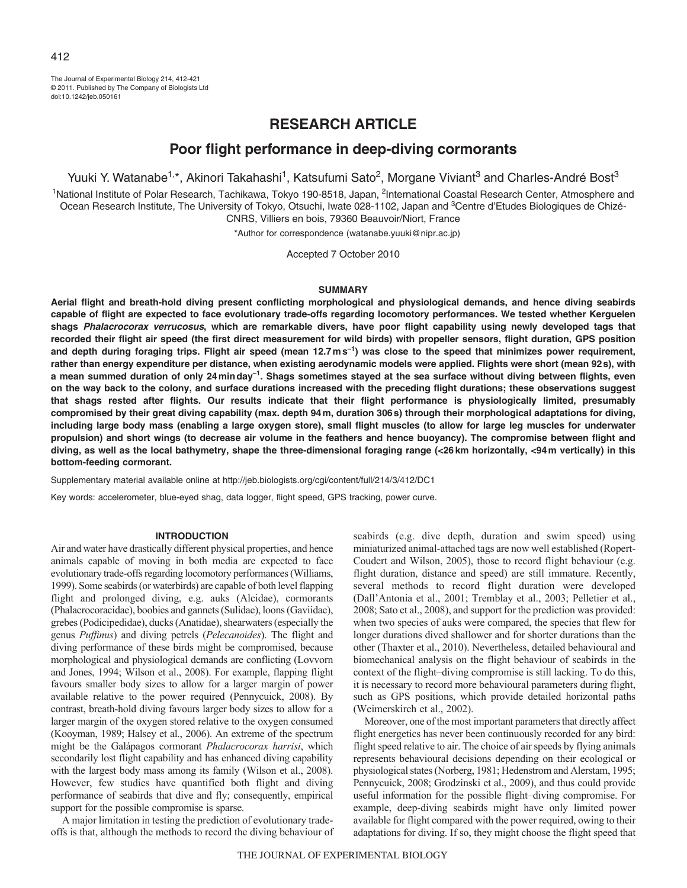# **RESEARCH ARTICLE**

# **Poor flight performance in deep-diving cormorants**

Yuuki Y. Watanabe<sup>1,\*</sup>, Akinori Takahashi<sup>1</sup>, Katsufumi Sato<sup>2</sup>, Morgane Viviant<sup>3</sup> and Charles-André Bost<sup>3</sup>

<sup>1</sup>National Institute of Polar Research, Tachikawa, Tokyo 190-8518, Japan, <sup>2</sup>International Coastal Research Center, Atmosphere and Ocean Research Institute, The University of Tokyo, Otsuchi, Iwate 028-1102, Japan and <sup>3</sup>Centre d'Etudes Biologiques de Chizé-CNRS, Villiers en bois, 79360 Beauvoir/Niort, France

\*Author for correspondence (watanabe.yuuki@nipr.ac.jp)

Accepted 7 October 2010

### **SUMMARY**

**Aerial flight and breath-hold diving present conflicting morphological and physiological demands, and hence diving seabirds capable of flight are expected to face evolutionary trade-offs regarding locomotory performances. We tested whether Kerguelen shags Phalacrocorax verrucosus, which are remarkable divers, have poor flight capability using newly developed tags that recorded their flight air speed (the first direct measurement for wild birds) with propeller sensors, flight duration, GPS position** and depth during foraging trips. Flight air speed (mean 12.7ms<sup>-1</sup>) was close to the speed that minimizes power requirement, **rather than energy expenditure per distance, when existing aerodynamic models were applied. Flights were short (mean 92s), with a mean summed duration of only 24minday–1. Shags sometimes stayed at the sea surface without diving between flights, even on the way back to the colony, and surface durations increased with the preceding flight durations; these observations suggest that shags rested after flights. Our results indicate that their flight performance is physiologically limited, presumably compromised by their great diving capability (max. depth 94m, duration 306s) through their morphological adaptations for diving, including large body mass (enabling a large oxygen store), small flight muscles (to allow for large leg muscles for underwater propulsion) and short wings (to decrease air volume in the feathers and hence buoyancy). The compromise between flight and diving, as well as the local bathymetry, shape the three-dimensional foraging range (<26km horizontally, <94m vertically) in this bottom-feeding cormorant.**

Supplementary material available online at http://jeb.biologists.org/cgi/content/full/214/3/412/DC1

Key words: accelerometer, blue-eyed shag, data logger, flight speed, GPS tracking, power curve.

# **INTRODUCTION**

Air and water have drastically different physical properties, and hence animals capable of moving in both media are expected to face evolutionary trade-offs regarding locomotory performances (Williams, 1999). Some seabirds (or waterbirds) are capable of both level flapping flight and prolonged diving, e.g. auks (Alcidae), cormorants (Phalacrocoracidae), boobies and gannets (Sulidae), loons (Gaviidae), grebes (Podicipedidae), ducks (Anatidae), shearwaters (especially the genus *Puffinus*) and diving petrels (*Pelecanoides*). The flight and diving performance of these birds might be compromised, because morphological and physiological demands are conflicting (Lovvorn and Jones, 1994; Wilson et al., 2008). For example, flapping flight favours smaller body sizes to allow for a larger margin of power available relative to the power required (Pennycuick, 2008). By contrast, breath-hold diving favours larger body sizes to allow for a larger margin of the oxygen stored relative to the oxygen consumed (Kooyman, 1989; Halsey et al., 2006). An extreme of the spectrum might be the Galápagos cormorant *Phalacrocorax harrisi*, which secondarily lost flight capability and has enhanced diving capability with the largest body mass among its family (Wilson et al., 2008). However, few studies have quantified both flight and diving performance of seabirds that dive and fly; consequently, empirical support for the possible compromise is sparse.

A major limitation in testing the prediction of evolutionary tradeoffs is that, although the methods to record the diving behaviour of seabirds (e.g. dive depth, duration and swim speed) using miniaturized animal-attached tags are now well established (Ropert-Coudert and Wilson, 2005), those to record flight behaviour (e.g. flight duration, distance and speed) are still immature. Recently, several methods to record flight duration were developed (Dall'Antonia et al., 2001; Tremblay et al., 2003; Pelletier et al., 2008; Sato et al., 2008), and support for the prediction was provided: when two species of auks were compared, the species that flew for longer durations dived shallower and for shorter durations than the other (Thaxter et al., 2010). Nevertheless, detailed behavioural and biomechanical analysis on the flight behaviour of seabirds in the context of the flight–diving compromise is still lacking. To do this, it is necessary to record more behavioural parameters during flight, such as GPS positions, which provide detailed horizontal paths (Weimerskirch et al., 2002).

Moreover, one of the most important parameters that directly affect flight energetics has never been continuously recorded for any bird: flight speed relative to air. The choice of air speeds by flying animals represents behavioural decisions depending on their ecological or physiological states (Norberg, 1981; Hedenstrom and Alerstam, 1995; Pennycuick, 2008; Grodzinski et al., 2009), and thus could provide useful information for the possible flight–diving compromise. For example, deep-diving seabirds might have only limited power available for flight compared with the power required, owing to their adaptations for diving. If so, they might choose the flight speed that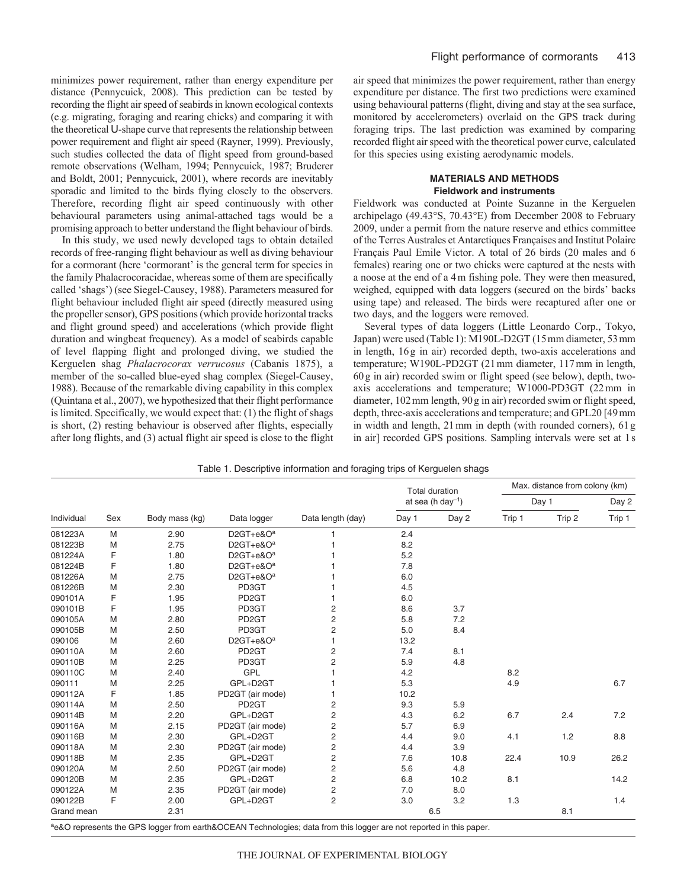minimizes power requirement, rather than energy expenditure per distance (Pennycuick, 2008). This prediction can be tested by recording the flight air speed of seabirds in known ecological contexts (e.g. migrating, foraging and rearing chicks) and comparing it with the theoretical U-shape curve that represents the relationship between power requirement and flight air speed (Rayner, 1999). Previously, such studies collected the data of flight speed from ground-based remote observations (Welham, 1994; Pennycuick, 1987; Bruderer and Boldt, 2001; Pennycuick, 2001), where records are inevitably sporadic and limited to the birds flying closely to the observers. Therefore, recording flight air speed continuously with other behavioural parameters using animal-attached tags would be a promising approach to better understand the flight behaviour of birds.

In this study, we used newly developed tags to obtain detailed records of free-ranging flight behaviour as well as diving behaviour for a cormorant (here 'cormorant' is the general term for species in the family Phalacrocoracidae, whereas some of them are specifically called 'shags') (see Siegel-Causey, 1988). Parameters measured for flight behaviour included flight air speed (directly measured using the propeller sensor), GPS positions (which provide horizontal tracks and flight ground speed) and accelerations (which provide flight duration and wingbeat frequency). As a model of seabirds capable of level flapping flight and prolonged diving, we studied the Kerguelen shag *Phalacrocorax verrucosus* (Cabanis 1875), a member of the so-called blue-eyed shag complex (Siegel-Causey, 1988). Because of the remarkable diving capability in this complex (Quintana et al., 2007), we hypothesized that their flight performance is limited. Specifically, we would expect that: (1) the flight of shags is short, (2) resting behaviour is observed after flights, especially after long flights, and (3) actual flight air speed is close to the flight air speed that minimizes the power requirement, rather than energy expenditure per distance. The first two predictions were examined using behavioural patterns (flight, diving and stay at the sea surface, monitored by accelerometers) overlaid on the GPS track during foraging trips. The last prediction was examined by comparing recorded flight air speed with the theoretical power curve, calculated for this species using existing aerodynamic models.

# **MATERIALS AND METHODS Fieldwork and instruments**

Fieldwork was conducted at Pointe Suzanne in the Kerguelen archipelago (49.43°S, 70.43°E) from December 2008 to February 2009, under a permit from the nature reserve and ethics committee of the Terres Australes et Antarctiques Françaises and Institut Polaire Français Paul Emile Victor. A total of 26 birds (20 males and 6 females) rearing one or two chicks were captured at the nests with a noose at the end of a 4m fishing pole. They were then measured, weighed, equipped with data loggers (secured on the birds' backs using tape) and released. The birds were recaptured after one or two days, and the loggers were removed.

Several types of data loggers (Little Leonardo Corp., Tokyo, Japan) were used (Table1): M190L-D2GT (15mm diameter, 53mm in length, 16g in air) recorded depth, two-axis accelerations and temperature; W190L-PD2GT (21mm diameter, 117mm in length, 60g in air) recorded swim or flight speed (see below), depth, twoaxis accelerations and temperature; W1000-PD3GT (22mm in diameter, 102mm length, 90g in air) recorded swim or flight speed, depth, three-axis accelerations and temperature; and GPL20 [49mm in width and length, 21mm in depth (with rounded corners), 61g in air] recorded GPS positions. Sampling intervals were set at 1s

| Individual<br>Sex<br>Data length (day)<br>Body mass (kg)<br>Data logger<br>081223A<br>M<br>2.90<br>$D2GT + e & Oa$<br>M<br>D2GT+e&O <sup>a</sup><br>081223B<br>2.75<br>F<br>1.80<br>$D2GT + e & Oa$<br>081224A<br>F<br>1.80<br>$D2GT + e & Oa$<br>081224B<br>081226A<br>M<br>2.75<br>$D2GT + e & O^a$<br>M<br>081226B<br>2.30<br>PD3GT<br>F<br>090101A<br>1.95<br>PD <sub>2</sub> GT<br>F<br>2<br>1.95<br>PD3GT<br>090101B | Day 1<br>2.4<br>8.2<br>5.2<br>7.8<br>6.0<br>4.5<br>6.0<br>8.6 | <b>Total duration</b><br>at sea (h day $^{-1}$ )<br>Day 2 | Trip 1 | Day 1<br>Trip 2 | Day 2<br>Trip 1 |
|----------------------------------------------------------------------------------------------------------------------------------------------------------------------------------------------------------------------------------------------------------------------------------------------------------------------------------------------------------------------------------------------------------------------------|---------------------------------------------------------------|-----------------------------------------------------------|--------|-----------------|-----------------|
|                                                                                                                                                                                                                                                                                                                                                                                                                            |                                                               |                                                           |        |                 |                 |
|                                                                                                                                                                                                                                                                                                                                                                                                                            |                                                               |                                                           |        |                 |                 |
|                                                                                                                                                                                                                                                                                                                                                                                                                            |                                                               |                                                           |        |                 |                 |
|                                                                                                                                                                                                                                                                                                                                                                                                                            |                                                               |                                                           |        |                 |                 |
|                                                                                                                                                                                                                                                                                                                                                                                                                            |                                                               |                                                           |        |                 |                 |
|                                                                                                                                                                                                                                                                                                                                                                                                                            |                                                               |                                                           |        |                 |                 |
|                                                                                                                                                                                                                                                                                                                                                                                                                            |                                                               |                                                           |        |                 |                 |
|                                                                                                                                                                                                                                                                                                                                                                                                                            |                                                               |                                                           |        |                 |                 |
|                                                                                                                                                                                                                                                                                                                                                                                                                            |                                                               |                                                           |        |                 |                 |
|                                                                                                                                                                                                                                                                                                                                                                                                                            |                                                               | 3.7                                                       |        |                 |                 |
| 2<br>M<br>090105A<br>2.80<br>PD <sub>2</sub> GT                                                                                                                                                                                                                                                                                                                                                                            | 5.8                                                           | 7.2                                                       |        |                 |                 |
| 2<br>PD3GT<br>090105B<br>M<br>2.50                                                                                                                                                                                                                                                                                                                                                                                         | 5.0                                                           | 8.4                                                       |        |                 |                 |
| 090106<br>M<br>2.60<br>$D2GT + e & O^a$                                                                                                                                                                                                                                                                                                                                                                                    | 13.2                                                          |                                                           |        |                 |                 |
| M<br>2<br>090110A<br>2.60<br>PD <sub>2</sub> GT                                                                                                                                                                                                                                                                                                                                                                            | 7.4                                                           | 8.1                                                       |        |                 |                 |
| M<br>2<br>2.25<br>PD3GT<br>090110B                                                                                                                                                                                                                                                                                                                                                                                         | 5.9                                                           | 4.8                                                       |        |                 |                 |
| GPL<br>090110C<br>M<br>2.40                                                                                                                                                                                                                                                                                                                                                                                                | 4.2                                                           |                                                           | 8.2    |                 |                 |
| GPL+D2GT<br>090111<br>M<br>2.25                                                                                                                                                                                                                                                                                                                                                                                            | 5.3                                                           |                                                           | 4.9    |                 | 6.7             |
| F<br>1.85<br>090112A<br>PD2GT (air mode)                                                                                                                                                                                                                                                                                                                                                                                   | 10.2                                                          |                                                           |        |                 |                 |
| 2<br>M<br>2.50<br>PD <sub>2</sub> GT<br>090114A                                                                                                                                                                                                                                                                                                                                                                            | 9.3                                                           | 5.9                                                       |        |                 |                 |
| M<br>GPL+D2GT<br>2<br>090114B<br>2.20                                                                                                                                                                                                                                                                                                                                                                                      | 4.3                                                           | 6.2                                                       | 6.7    | 2.4             | 7.2             |
| 2<br>090116A<br>M<br>2.15<br>PD2GT (air mode)                                                                                                                                                                                                                                                                                                                                                                              | 5.7                                                           | 6.9                                                       |        |                 |                 |
| M<br>GPL+D2GT<br>2<br>090116B<br>2.30                                                                                                                                                                                                                                                                                                                                                                                      | 4.4                                                           | 9.0                                                       | 4.1    | 1.2             | 8.8             |
| PD2GT (air mode)<br>2<br>090118A<br>M<br>2.30                                                                                                                                                                                                                                                                                                                                                                              | 4.4                                                           | 3.9                                                       |        |                 |                 |
| 2<br>090118B<br>M<br>2.35<br>GPL+D2GT                                                                                                                                                                                                                                                                                                                                                                                      | 7.6                                                           | 10.8                                                      | 22.4   | 10.9            | 26.2            |
| 2<br>M<br>090120A<br>2.50<br>PD2GT (air mode)                                                                                                                                                                                                                                                                                                                                                                              | 5.6                                                           | 4.8                                                       |        |                 |                 |
| 2<br>090120B<br>M<br>2.35<br>GPL+D2GT                                                                                                                                                                                                                                                                                                                                                                                      | 6.8                                                           | 10.2                                                      | 8.1    |                 | 14.2            |
| 090122A<br>M<br>2.35<br>2<br>PD2GT (air mode)                                                                                                                                                                                                                                                                                                                                                                              | 7.0                                                           | 8.0                                                       |        |                 |                 |
| F<br>2<br>090122B<br>GPL+D2GT<br>2.00                                                                                                                                                                                                                                                                                                                                                                                      | 3.0                                                           | 3.2                                                       | 1.3    |                 | 1.4             |
| 2.31<br>Grand mean                                                                                                                                                                                                                                                                                                                                                                                                         |                                                               | 6.5                                                       |        | 8.1             |                 |

Table 1. Descriptive information and foraging trips of Kerguelen shags

ae&O represents the GPS logger from earth&OCEAN Technologies; data from this logger are not reported in this paper.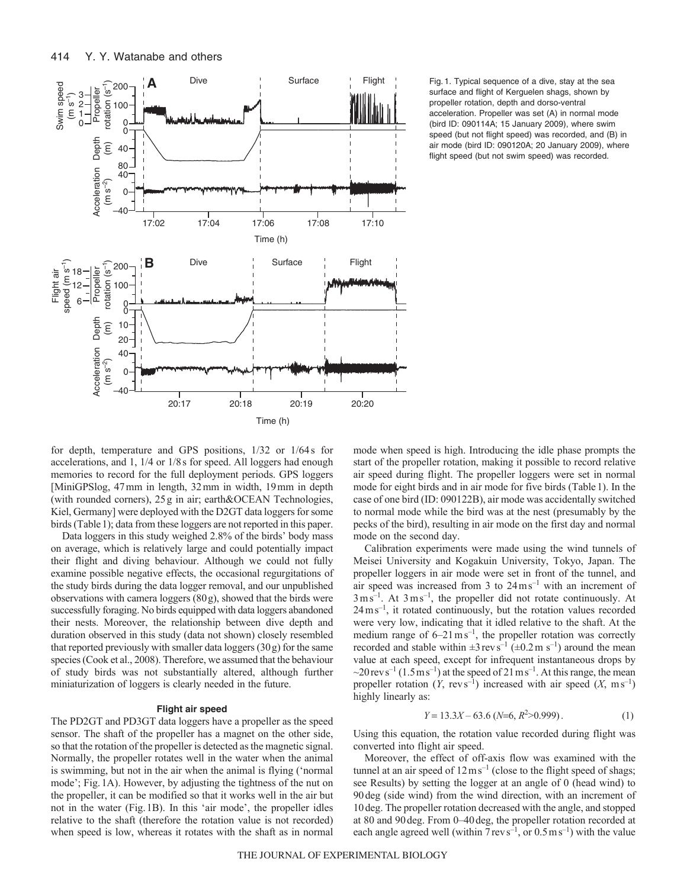

surface and flight of Kerguelen shags, shown by propeller rotation, depth and dorso-ventral acceleration. Propeller was set (A) in normal mode (bird ID: 090114A; 15 January 2009), where swim speed (but not flight speed) was recorded, and (B) in air mode (bird ID: 090120A; 20 January 2009), where flight speed (but not swim speed) was recorded.

for depth, temperature and GPS positions, 1/32 or 1/64s for accelerations, and 1, 1/4 or 1/8s for speed. All loggers had enough memories to record for the full deployment periods. GPS loggers [MiniGPSlog, 47mm in length, 32mm in width, 19mm in depth (with rounded corners), 25g in air; earth&OCEAN Technologies, Kiel, Germany] were deployed with the D2GT data loggers for some birds (Table1); data from these loggers are not reported in this paper.

Data loggers in this study weighed 2.8% of the birds' body mass on average, which is relatively large and could potentially impact their flight and diving behaviour. Although we could not fully examine possible negative effects, the occasional regurgitations of the study birds during the data logger removal, and our unpublished observations with camera loggers (80g), showed that the birds were successfully foraging. No birds equipped with data loggers abandoned their nests. Moreover, the relationship between dive depth and duration observed in this study (data not shown) closely resembled that reported previously with smaller data loggers (30g) for the same species (Cook et al., 2008). Therefore, we assumed that the behaviour of study birds was not substantially altered, although further miniaturization of loggers is clearly needed in the future.

#### **Flight air speed**

The PD2GT and PD3GT data loggers have a propeller as the speed sensor. The shaft of the propeller has a magnet on the other side, so that the rotation of the propeller is detected as the magnetic signal. Normally, the propeller rotates well in the water when the animal is swimming, but not in the air when the animal is flying ('normal mode'; Fig.1A). However, by adjusting the tightness of the nut on the propeller, it can be modified so that it works well in the air but not in the water (Fig.1B). In this 'air mode', the propeller idles relative to the shaft (therefore the rotation value is not recorded) when speed is low, whereas it rotates with the shaft as in normal mode when speed is high. Introducing the idle phase prompts the start of the propeller rotation, making it possible to record relative air speed during flight. The propeller loggers were set in normal mode for eight birds and in air mode for five birds (Table1). In the case of one bird (ID: 090122B), air mode was accidentally switched to normal mode while the bird was at the nest (presumably by the pecks of the bird), resulting in air mode on the first day and normal mode on the second day.

Calibration experiments were made using the wind tunnels of Meisei University and Kogakuin University, Tokyo, Japan. The propeller loggers in air mode were set in front of the tunnel, and air speed was increased from  $3 \text{ to } 24 \text{ m s}^{-1}$  with an increment of  $3 \text{ ms}^{-1}$ . At  $3 \text{ ms}^{-1}$ , the propeller did not rotate continuously. At  $24 \text{ m s}^{-1}$ , it rotated continuously, but the rotation values recorded were very low, indicating that it idled relative to the shaft. At the medium range of  $6-21 \text{ m s}^{-1}$ , the propeller rotation was correctly recorded and stable within  $\pm 3$  revs<sup>-1</sup> ( $\pm 0.2$  m s<sup>-1</sup>) around the mean value at each speed, except for infrequent instantaneous drops by  $\sim$ 20 rev s<sup>-1</sup> (1.5 m s<sup>-1</sup>) at the speed of 21 m s<sup>-1</sup>. At this range, the mean propeller rotation  $(Y, \text{rev } s^{-1})$  increased with air speed  $(X, \text{ms}^{-1})$ highly linearly as:

$$
Y = 13.3X - 63.6 \ (N=6, R^2>0.999). \tag{1}
$$

Using this equation, the rotation value recorded during flight was converted into flight air speed.

Moreover, the effect of off-axis flow was examined with the tunnel at an air speed of  $12 \text{ m s}^{-1}$  (close to the flight speed of shags; see Results) by setting the logger at an angle of 0 (head wind) to 90deg (side wind) from the wind direction, with an increment of 10deg. The propeller rotation decreased with the angle, and stopped at 80 and 90deg. From 0–40deg, the propeller rotation recorded at each angle agreed well (within  $7 \text{ rev s}^{-1}$ , or  $0.5 \text{ m s}^{-1}$ ) with the value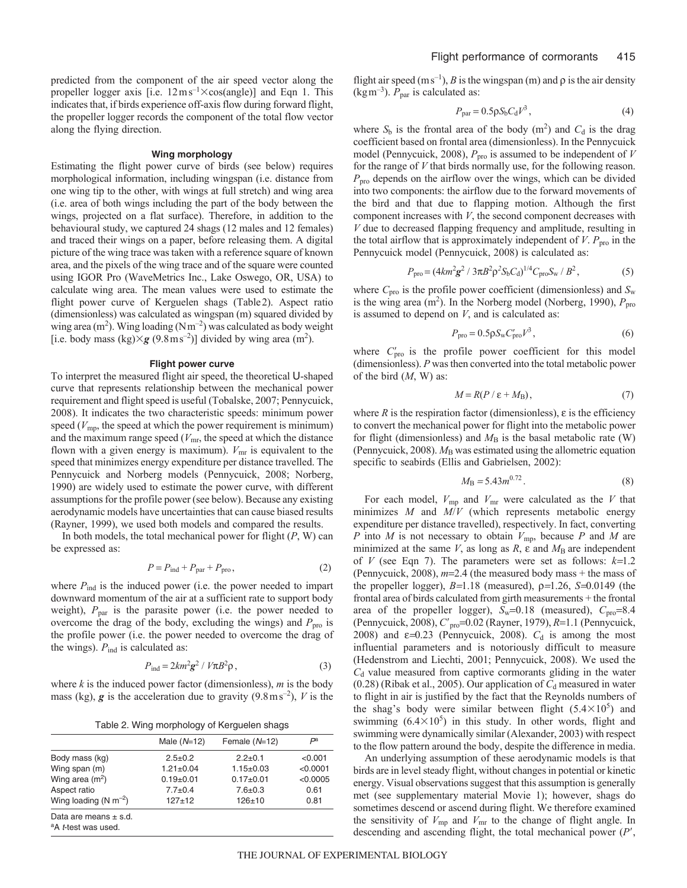predicted from the component of the air speed vector along the propeller logger axis [i.e.  $12 \text{ ms}^{-1} \times \text{cos}(\text{angle})$ ] and Eqn 1. This indicates that, if birds experience off-axis flow during forward flight, the propeller logger records the component of the total flow vector along the flying direction.

#### **Wing morphology**

Estimating the flight power curve of birds (see below) requires morphological information, including wingspan (i.e. distance from one wing tip to the other, with wings at full stretch) and wing area (i.e. area of both wings including the part of the body between the wings, projected on a flat surface). Therefore, in addition to the behavioural study, we captured 24 shags (12 males and 12 females) and traced their wings on a paper, before releasing them. A digital picture of the wing trace was taken with a reference square of known area, and the pixels of the wing trace and of the square were counted using IGOR Pro (WaveMetrics Inc., Lake Oswego, OR, USA) to calculate wing area. The mean values were used to estimate the flight power curve of Kerguelen shags (Table2). Aspect ratio (dimensionless) was calculated as wingspan (m) squared divided by wing area  $(m^2)$ . Wing loading  $(Nm^{-2})$  was calculated as body weight [i.e. body mass (kg) $\times$ **g** (9.8ms<sup>-2</sup>)] divided by wing area (m<sup>2</sup>).

## **Flight power curve**

To interpret the measured flight air speed, the theoretical U-shaped curve that represents relationship between the mechanical power requirement and flight speed is useful (Tobalske, 2007; Pennycuick, 2008). It indicates the two characteristic speeds: minimum power speed ( $V_{\text{mp}}$ , the speed at which the power requirement is minimum) and the maximum range speed ( $V<sub>mr</sub>$ , the speed at which the distance flown with a given energy is maximum).  $V_{\text{mr}}$  is equivalent to the speed that minimizes energy expenditure per distance travelled. The Pennycuick and Norberg models (Pennycuick, 2008; Norberg, 1990) are widely used to estimate the power curve, with different assumptions for the profile power (see below). Because any existing aerodynamic models have uncertainties that can cause biased results (Rayner, 1999), we used both models and compared the results.

In both models, the total mechanical power for flight (*P*, W) can be expressed as:

$$
P = P_{\text{ind}} + P_{\text{par}} + P_{\text{pro}}\,,\tag{2}
$$

where  $P_{\text{ind}}$  is the induced power (i.e. the power needed to impart downward momentum of the air at a sufficient rate to support body weight),  $P_{\text{par}}$  is the parasite power (i.e. the power needed to overcome the drag of the body, excluding the wings) and  $P_{\text{pro}}$  is the profile power (i.e. the power needed to overcome the drag of the wings).  $P_{\text{ind}}$  is calculated as:

$$
P_{\text{ind}} = 2km^2 g^2 / V \pi B^2 \rho, \qquad (3)
$$

where  $k$  is the induced power factor (dimensionless),  $m$  is the body mass (kg),  $g$  is the acceleration due to gravity (9.8 m s<sup>-2</sup>),  $V$  is the

Table 2. Wing morphology of Kerguelen shags

|                                                                      | Male $(N=12)$   |  | Female $(N=12)$  |  | $P^a$    |
|----------------------------------------------------------------------|-----------------|--|------------------|--|----------|
| Body mass (kg)                                                       | $2.5+0.2$       |  | $2.2+0.1$        |  | < 0.001  |
| Wing span (m)                                                        | $1.21 \pm 0.04$ |  | $1.15 \pm 0.03$  |  | < 0.0001 |
| Wing area $(m^2)$                                                    | $0.19 + 0.01$   |  | $0.17+0.01$      |  | < 0.0005 |
| Aspect ratio                                                         | $7.7 \pm 0.4$   |  | $7.6 \pm 0.3$    |  | 0.61     |
| Wing loading (N $\rm m^{-2}$ )                                       | 127±12          |  | 0.81<br>$126+10$ |  |          |
| Data are means $\pm$ s.d.<br><sup>a</sup> A <i>t</i> -test was used. |                 |  |                  |  |          |

flight air speed (ms<sup>-1</sup>), *B* is the wingspan (m) and  $\rho$  is the air density (kg m<sup>-3</sup>).  $P_{\text{par}}$  is calculated as:

$$
P_{\text{par}} = 0.5 \rho S_b C_d V^3, \qquad (4)
$$

where  $S_b$  is the frontal area of the body  $(m^2)$  and  $C_d$  is the drag coefficient based on frontal area (dimensionless). In the Pennycuick model (Pennycuick, 2008),  $P_{\text{pro}}$  is assumed to be independent of *V* for the range of *V* that birds normally use, for the following reason. *P*pro depends on the airflow over the wings, which can be divided into two components: the airflow due to the forward movements of the bird and that due to flapping motion. Although the first component increases with *V*, the second component decreases with *V* due to decreased flapping frequency and amplitude, resulting in the total airflow that is approximately independent of  $V$ .  $P_{\text{pro}}$  in the Pennycuick model (Pennycuick, 2008) is calculated as:

$$
P_{\rm pro} = (4km^2g^2 / 3\pi B^2 \rho^2 S_b C_d)^{1/4} C_{\rm pro} S_w / B^2, \tag{5}
$$

where  $C_{\text{pro}}$  is the profile power coefficient (dimensionless) and  $S_{\text{w}}$ is the wing area  $(m^2)$ . In the Norberg model (Norberg, 1990),  $P_{\text{pro}}$ is assumed to depend on *V*, and is calculated as:

$$
P_{\rm pro} = 0.5 \rho S_{\rm w} C'_{\rm pro} V^3, \qquad (6)
$$

where  $C'_{\text{pro}}$  is the profile power coefficient for this model (dimensionless). *P* was then converted into the total metabolic power of the bird (*M*, W) as:

$$
M = R(P / \varepsilon + M_{\rm B}),\tag{7}
$$

where  $R$  is the respiration factor (dimensionless),  $\varepsilon$  is the efficiency to convert the mechanical power for flight into the metabolic power for flight (dimensionless) and  $M<sub>B</sub>$  is the basal metabolic rate (W) (Pennycuick, 2008).  $M_B$  was estimated using the allometric equation specific to seabirds (Ellis and Gabrielsen, 2002):

$$
M_{\rm B} = 5.43m^{0.72}.\tag{8}
$$

For each model,  $V_{\text{mp}}$  and  $V_{\text{mr}}$  were calculated as the *V* that minimizes *M* and *M*/*V* (which represents metabolic energy expenditure per distance travelled), respectively. In fact, converting *P* into *M* is not necessary to obtain *V*mp, because *P* and *M* are minimized at the same *V*, as long as *R*,  $\varepsilon$  and  $M_B$  are independent of *V* (see Eqn 7). The parameters were set as follows:  $k=1.2$ (Pennycuick, 2008),  $m=2.4$  (the measured body mass + the mass of the propeller logger),  $B=1.18$  (measured),  $\rho=1.26$ ,  $S=0.0149$  (the frontal area of birds calculated from girth measurements + the frontal area of the propeller logger),  $S_w=0.18$  (measured),  $C_{\text{pro}}=8.4$ (Pennycuick, 2008),  $C<sub>pro</sub>=0.02$  (Rayner, 1979), *R*=1.1 (Pennycuick, 2008) and  $\varepsilon$ =0.23 (Pennycuick, 2008).  $C_d$  is among the most influential parameters and is notoriously difficult to measure (Hedenstrom and Liechti, 2001; Pennycuick, 2008). We used the *C*<sup>d</sup> value measured from captive cormorants gliding in the water  $(0.28)$  (Ribak et al., 2005). Our application of  $C_d$  measured in water to flight in air is justified by the fact that the Reynolds numbers of the shag's body were similar between flight  $(5.4 \times 10^5)$  and swimming  $(6.4 \times 10^5)$  in this study. In other words, flight and swimming were dynamically similar (Alexander, 2003) with respect to the flow pattern around the body, despite the difference in media.

An underlying assumption of these aerodynamic models is that birds are in level steady flight, without changes in potential or kinetic energy. Visual observations suggest that this assumption is generally met (see supplementary material Movie 1); however, shags do sometimes descend or ascend during flight. We therefore examined the sensitivity of  $V_{\text{mp}}$  and  $V_{\text{mr}}$  to the change of flight angle. In descending and ascending flight, the total mechanical power (*P*,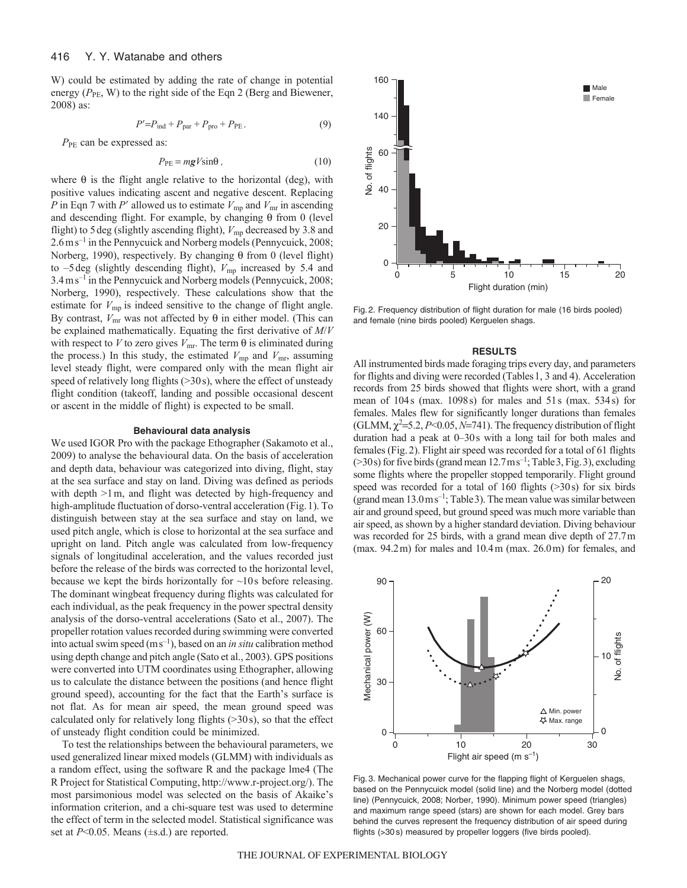W) could be estimated by adding the rate of change in potential energy ( $P_{PE}$ , W) to the right side of the Eqn 2 (Berg and Biewener, 2008) as:

$$
P'=P_{\text{ind}}+P_{\text{par}}+P_{\text{pro}}+P_{\text{PE}}.\tag{9}
$$

*P*<sub>PE</sub> can be expressed as:

$$
P_{\rm PE} = mgV \sin\theta \,, \tag{10}
$$

where  $\theta$  is the flight angle relative to the horizontal (deg), with positive values indicating ascent and negative descent. Replacing *P* in Eqn 7 with *P'* allowed us to estimate  $V_{mp}$  and  $V_{mr}$  in ascending and descending flight. For example, by changing  $\theta$  from 0 (level flight) to 5 deg (slightly ascending flight),  $V_{\text{mp}}$  decreased by 3.8 and  $2.6 \text{ m s}^{-1}$  in the Pennycuick and Norberg models (Pennycuick, 2008; Norberg, 1990), respectively. By changing  $\theta$  from 0 (level flight) to  $-5$  deg (slightly descending flight),  $V_{mp}$  increased by 5.4 and 3.4ms–1 in the Pennycuick and Norberg models (Pennycuick, 2008; Norberg, 1990), respectively. These calculations show that the estimate for  $V_{\text{mp}}$  is indeed sensitive to the change of flight angle. By contrast,  $V_{\text{mr}}$  was not affected by  $\theta$  in either model. (This can be explained mathematically. Equating the first derivative of *M*/*V* with respect to *V* to zero gives  $V_{\text{mr}}$ . The term  $\theta$  is eliminated during the process.) In this study, the estimated  $V_{\text{mp}}$  and  $V_{\text{mr}}$ , assuming level steady flight, were compared only with the mean flight air speed of relatively long flights (>30s), where the effect of unsteady flight condition (takeoff, landing and possible occasional descent or ascent in the middle of flight) is expected to be small.

#### **Behavioural data analysis**

We used IGOR Pro with the package Ethographer (Sakamoto et al., 2009) to analyse the behavioural data. On the basis of acceleration and depth data, behaviour was categorized into diving, flight, stay at the sea surface and stay on land. Diving was defined as periods with depth  $>1$  m, and flight was detected by high-frequency and high-amplitude fluctuation of dorso-ventral acceleration (Fig. 1). To distinguish between stay at the sea surface and stay on land, we used pitch angle, which is close to horizontal at the sea surface and upright on land. Pitch angle was calculated from low-frequency signals of longitudinal acceleration, and the values recorded just before the release of the birds was corrected to the horizontal level, because we kept the birds horizontally for  $\sim$ 10s before releasing. The dominant wingbeat frequency during flights was calculated for each individual, as the peak frequency in the power spectral density analysis of the dorso-ventral accelerations (Sato et al., 2007). The propeller rotation values recorded during swimming were converted into actual swim speed (ms–1), based on an *in situ* calibration method using depth change and pitch angle (Sato et al., 2003). GPS positions were converted into UTM coordinates using Ethographer, allowing us to calculate the distance between the positions (and hence flight ground speed), accounting for the fact that the Earth's surface is not flat. As for mean air speed, the mean ground speed was calculated only for relatively long flights  $(>=30 \text{ s})$ , so that the effect of unsteady flight condition could be minimized.

To test the relationships between the behavioural parameters, we used generalized linear mixed models (GLMM) with individuals as a random effect, using the software R and the package lme4 (The R Project for Statistical Computing, http://www.r-project.org/). The most parsimonious model was selected on the basis of Akaike's information criterion, and a chi-square test was used to determine the effect of term in the selected model. Statistical significance was set at  $P<0.05$ . Means ( $\pm$ s.d.) are reported.



Fig. 2. Frequency distribution of flight duration for male (16 birds pooled) and female (nine birds pooled) Kerguelen shags.

#### **RESULTS**

All instrumented birds made foraging trips every day, and parameters for flights and diving were recorded (Tables1, 3 and 4). Acceleration records from 25 birds showed that flights were short, with a grand mean of 104s (max. 1098s) for males and 51s (max. 534s) for females. Males flew for significantly longer durations than females (GLMM,  $\chi^2$ =5.2, *P*<0.05, *N*=741). The frequency distribution of flight duration had a peak at 0–30s with a long tail for both males and females (Fig.2). Flight air speed was recorded for a total of 61 flights  $($ >30s) for five birds (grand mean 12.7 ms<sup>-1</sup>; Table 3, Fig. 3), excluding some flights where the propeller stopped temporarily. Flight ground speed was recorded for a total of 160 flights (>30s) for six birds (grand mean  $13.0 \text{ m s}^{-1}$ ; Table 3). The mean value was similar between air and ground speed, but ground speed was much more variable than air speed, as shown by a higher standard deviation. Diving behaviour was recorded for 25 birds, with a grand mean dive depth of 27.7m (max. 94.2m) for males and 10.4m (max. 26.0m) for females, and



Fig. 3. Mechanical power curve for the flapping flight of Kerguelen shags, based on the Pennycuick model (solid line) and the Norberg model (dotted line) (Pennycuick, 2008; Norber, 1990). Minimum power speed (triangles) and maximum range speed (stars) are shown for each model. Grey bars behind the curves represent the frequency distribution of air speed during flights (>30 s) measured by propeller loggers (five birds pooled).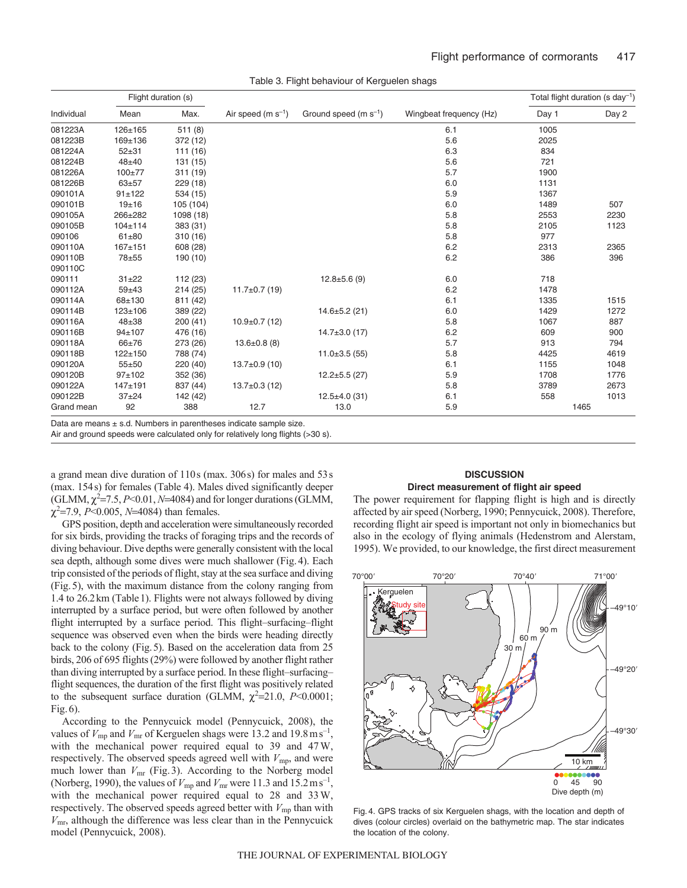| Flight duration (s) |               |           |                        |                           |                         |       | Total flight duration (s $\text{day}^{-1}$ ) |
|---------------------|---------------|-----------|------------------------|---------------------------|-------------------------|-------|----------------------------------------------|
| Individual          | Mean          | Max.      | Air speed $(m s^{-1})$ | Ground speed $(m s^{-1})$ | Wingbeat frequency (Hz) | Day 1 | Day 2                                        |
| 081223A             | 126±165       | 511(8)    |                        |                           | 6.1                     | 1005  |                                              |
| 081223B             | 169±136       | 372 (12)  |                        |                           | 5.6                     | 2025  |                                              |
| 081224A             | $52 + 31$     | 111 (16)  |                        |                           | 6.3                     | 834   |                                              |
| 081224B             | $48 + 40$     | 131 (15)  |                        |                           | 5.6                     | 721   |                                              |
| 081226A             | $100 + 77$    | 311(19)   |                        |                           | 5.7                     | 1900  |                                              |
| 081226B             | $63 + 57$     | 229(18)   |                        |                           | 6.0                     | 1131  |                                              |
| 090101A             | $91 \pm 122$  | 534 (15)  |                        |                           | 5.9                     | 1367  |                                              |
| 090101B             | $19 + 16$     | 105 (104) |                        |                           | 6.0                     | 1489  | 507                                          |
| 090105A             | 266±282       | 1098 (18) |                        |                           | 5.8                     | 2553  | 2230                                         |
| 090105B             | $104 \pm 114$ | 383 (31)  |                        |                           | 5.8                     | 2105  | 1123                                         |
| 090106              | $61 + 80$     | 310(16)   |                        |                           | 5.8                     | 977   |                                              |
| 090110A             | $167 + 151$   | 608 (28)  |                        |                           | $6.2\,$                 | 2313  | 2365                                         |
| 090110B             | 78±55         | 190 (10)  |                        |                           | 6.2                     | 386   | 396                                          |
| 090110C             |               |           |                        |                           |                         |       |                                              |
| 090111              | $31 + 22$     | 112 (23)  |                        | $12.8 \pm 5.6(9)$         | 6.0                     | 718   |                                              |
| 090112A             | $59 + 43$     | 214(25)   | $11.7 \pm 0.7$ (19)    |                           | 6.2                     | 1478  |                                              |
| 090114A             | 68±130        | 811 (42)  |                        |                           | 6.1                     | 1335  | 1515                                         |
| 090114B             | $123 + 106$   | 389 (22)  |                        | $14.6 \pm 5.2$ (21)       | 6.0                     | 1429  | 1272                                         |
| 090116A             | $48 + 38$     | 200(41)   | $10.9 \pm 0.7$ (12)    |                           | 5.8                     | 1067  | 887                                          |
| 090116B             | $94 + 107$    | 476 (16)  |                        | $14.7 \pm 3.0$ (17)       | 6.2                     | 609   | 900                                          |
| 090118A             | 66±76         | 273 (26)  | $13.6 \pm 0.8$ (8)     |                           | 5.7                     | 913   | 794                                          |
| 090118B             | $122 + 150$   | 788 (74)  |                        | $11.0 \pm 3.5$ (55)       | 5.8                     | 4425  | 4619                                         |
| 090120A             | $55 + 50$     | 220 (40)  | $13.7 \pm 0.9$ (10)    |                           | 6.1                     | 1155  | 1048                                         |
| 090120B             | $97+102$      | 352 (36)  |                        | $12.2 \pm 5.5$ (27)       | 5.9                     | 1708  | 1776                                         |
| 090122A             | $147 + 191$   | 837 (44)  | $13.7 \pm 0.3$ (12)    |                           | 5.8                     | 3789  | 2673                                         |
| 090122B             | $37+24$       | 142 (42)  |                        | $12.5 \pm 4.0$ (31)       | 6.1                     | 558   | 1013                                         |
| Grand mean          | 92            | 388       | 12.7                   | 13.0                      | 5.9                     |       | 1465                                         |

Table 3. Flight behaviour of Kerguelen shags

Data are means ± s.d. Numbers in parentheses indicate sample size.

Air and ground speeds were calculated only for relatively long flights (>30 s).

a grand mean dive duration of 110s (max. 306s) for males and 53s (max. 154s) for females (Table 4). Males dived significantly deeper (GLMM,  $\chi^2$ =7.5, *P*<0.01, *N*=4084) and for longer durations (GLMM,  $\chi^2$ =7.9, *P*<0.005, *N*=4084) than females.

GPS position, depth and acceleration were simultaneously recorded for six birds, providing the tracks of foraging trips and the records of diving behaviour. Dive depths were generally consistent with the local sea depth, although some dives were much shallower (Fig.4). Each trip consisted of the periods of flight, stay at the sea surface and diving (Fig.5), with the maximum distance from the colony ranging from 1.4 to 26.2km (Table1). Flights were not always followed by diving interrupted by a surface period, but were often followed by another flight interrupted by a surface period. This flight–surfacing–flight sequence was observed even when the birds were heading directly back to the colony (Fig.5). Based on the acceleration data from 25 birds, 206 of 695 flights (29%) were followed by another flight rather than diving interrupted by a surface period. In these flight–surfacing– flight sequences, the duration of the first flight was positively related to the subsequent surface duration (GLMM,  $\chi^2$ =21.0, *P*<0.0001; Fig.6).

According to the Pennycuick model (Pennycuick, 2008), the values of  $V_{\text{mp}}$  and  $V_{\text{mr}}$  of Kerguelen shags were 13.2 and 19.8 m s<sup>-1</sup>, with the mechanical power required equal to 39 and 47W, respectively. The observed speeds agreed well with  $V_{\text{mp}}$ , and were much lower than  $V<sub>mr</sub>$  (Fig. 3). According to the Norberg model (Norberg, 1990), the values of  $V_{\text{mp}}$  and  $V_{\text{mr}}$  were 11.3 and 15.2 m s<sup>-1</sup>, with the mechanical power required equal to 28 and 33W, respectively. The observed speeds agreed better with  $V_{\text{mp}}$  than with *V*mr, although the difference was less clear than in the Pennycuick model (Pennycuick, 2008).

# **DISCUSSION Direct measurement of flight air speed**

The power requirement for flapping flight is high and is directly affected by air speed (Norberg, 1990; Pennycuick, 2008). Therefore, recording flight air speed is important not only in biomechanics but also in the ecology of flying animals (Hedenstrom and Alerstam, 1995). We provided, to our knowledge, the first direct measurement



Fig. 4. GPS tracks of six Kerguelen shags, with the location and depth of dives (colour circles) overlaid on the bathymetric map. The star indicates the location of the colony.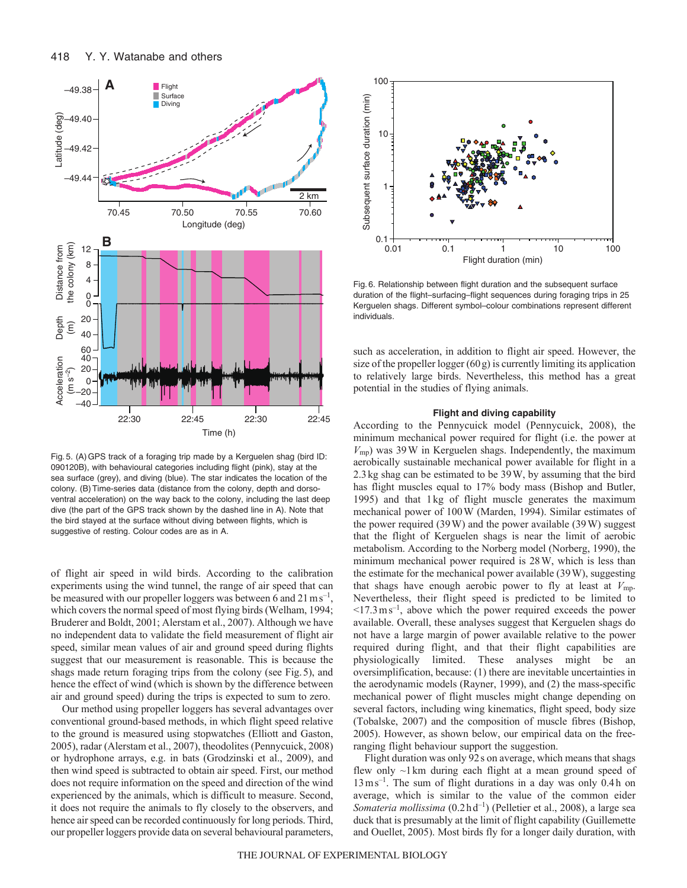

Fig. 5. (A)GPS track of a foraging trip made by a Kerguelen shag (bird ID: 090120B), with behavioural categories including flight (pink), stay at the sea surface (grey), and diving (blue). The star indicates the location of the colony. (B)Time-series data (distance from the colony, depth and dorsoventral acceleration) on the way back to the colony, including the last deep dive (the part of the GPS track shown by the dashed line in A). Note that the bird stayed at the surface without diving between flights, which is suggestive of resting. Colour codes are as in A.

of flight air speed in wild birds. According to the calibration experiments using the wind tunnel, the range of air speed that can be measured with our propeller loggers was between 6 and  $21 \text{ m s}^{-1}$ , which covers the normal speed of most flying birds (Welham, 1994; Bruderer and Boldt, 2001; Alerstam et al., 2007). Although we have no independent data to validate the field measurement of flight air speed, similar mean values of air and ground speed during flights suggest that our measurement is reasonable. This is because the shags made return foraging trips from the colony (see Fig.5), and hence the effect of wind (which is shown by the difference between air and ground speed) during the trips is expected to sum to zero.

Our method using propeller loggers has several advantages over conventional ground-based methods, in which flight speed relative to the ground is measured using stopwatches (Elliott and Gaston, 2005), radar (Alerstam et al., 2007), theodolites (Pennycuick, 2008) or hydrophone arrays, e.g. in bats (Grodzinski et al., 2009), and then wind speed is subtracted to obtain air speed. First, our method does not require information on the speed and direction of the wind experienced by the animals, which is difficult to measure. Second, it does not require the animals to fly closely to the observers, and hence air speed can be recorded continuously for long periods. Third, our propeller loggers provide data on several behavioural parameters,



Fig. 6. Relationship between flight duration and the subsequent surface duration of the flight–surfacing–flight sequences during foraging trips in 25 Kerguelen shags. Different symbol–colour combinations represent different individuals.

such as acceleration, in addition to flight air speed. However, the size of the propeller logger  $(60g)$  is currently limiting its application to relatively large birds. Nevertheless, this method has a great potential in the studies of flying animals.

#### **Flight and diving capability**

According to the Pennycuick model (Pennycuick, 2008), the minimum mechanical power required for flight (i.e. the power at *V*mp) was 39W in Kerguelen shags. Independently, the maximum aerobically sustainable mechanical power available for flight in a 2.3kg shag can be estimated to be 39W, by assuming that the bird has flight muscles equal to 17% body mass (Bishop and Butler, 1995) and that 1kg of flight muscle generates the maximum mechanical power of 100W (Marden, 1994). Similar estimates of the power required (39W) and the power available (39W) suggest that the flight of Kerguelen shags is near the limit of aerobic metabolism. According to the Norberg model (Norberg, 1990), the minimum mechanical power required is 28W, which is less than the estimate for the mechanical power available (39W), suggesting that shags have enough aerobic power to fly at least at *V*mp. Nevertheless, their flight speed is predicted to be limited to  $\leq$ 17.3 ms<sup>-1</sup>, above which the power required exceeds the power available. Overall, these analyses suggest that Kerguelen shags do not have a large margin of power available relative to the power required during flight, and that their flight capabilities are physiologically limited. These analyses might be an oversimplification, because: (1) there are inevitable uncertainties in the aerodynamic models (Rayner, 1999), and (2) the mass-specific mechanical power of flight muscles might change depending on several factors, including wing kinematics, flight speed, body size (Tobalske, 2007) and the composition of muscle fibres (Bishop, 2005). However, as shown below, our empirical data on the freeranging flight behaviour support the suggestion.

Flight duration was only 92s on average, which means that shags flew only ~1km during each flight at a mean ground speed of  $13 \text{ ms}^{-1}$ . The sum of flight durations in a day was only 0.4h on average, which is similar to the value of the common eider *Somateria mollissima* (0.2hd–1) (Pelletier et al., 2008), a large sea duck that is presumably at the limit of flight capability (Guillemette and Ouellet, 2005). Most birds fly for a longer daily duration, with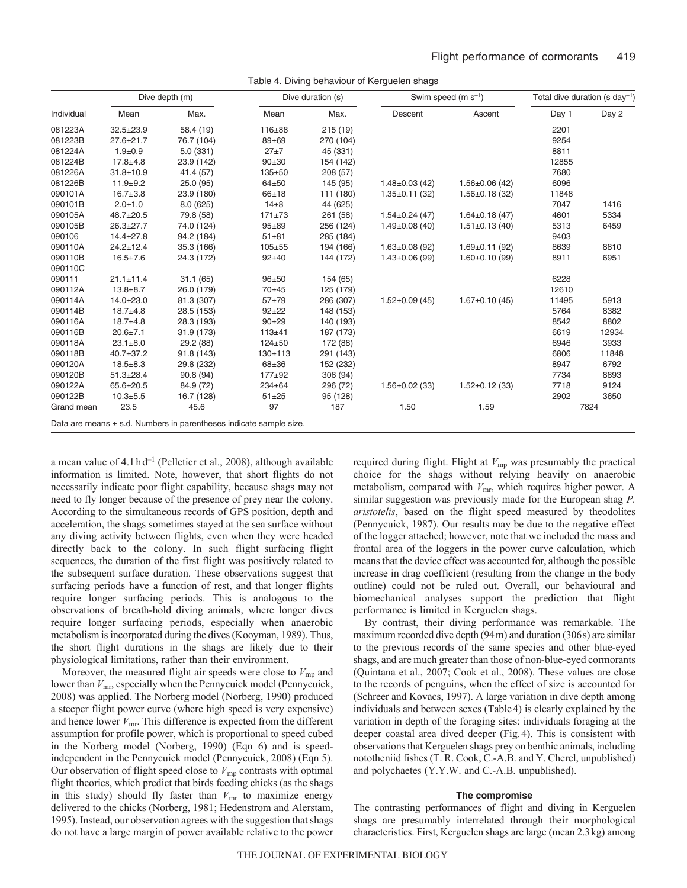|  | Table 4. Diving behaviour of Kerguelen shags |  |
|--|----------------------------------------------|--|
|  |                                              |  |

| Individual | Dive depth (m)  |                                                                        | Dive duration (s) |           |                      | Swim speed (m $s^{-1}$ ) | Total dive duration (s day <sup>-1</sup> ) |       |
|------------|-----------------|------------------------------------------------------------------------|-------------------|-----------|----------------------|--------------------------|--------------------------------------------|-------|
|            | Mean            | Max.                                                                   | Mean              | Max.      | Descent              | Ascent                   | Day 1                                      | Day 2 |
| 081223A    | $32.5 \pm 23.9$ | 58.4 (19)                                                              | $116 + 88$        | 215(19)   |                      |                          | 2201                                       |       |
| 081223B    | $27.6 \pm 21.7$ | 76.7 (104)                                                             | $89 + 69$         | 270 (104) |                      |                          | 9254                                       |       |
| 081224A    | $1.9 + 0.9$     | 5.0(331)                                                               | $27 + 7$          | 45 (331)  |                      |                          | 8811                                       |       |
| 081224B    | $17.8 + 4.8$    | 23.9 (142)                                                             | $90+30$           | 154 (142) |                      |                          | 12855                                      |       |
| 081226A    | $31.8 + 10.9$   | 41.4 (57)                                                              | $135 + 50$        | 208(57)   |                      |                          | 7680                                       |       |
| 081226B    | $11.9 + 9.2$    | 25.0(95)                                                               | $64 + 50$         | 145 (95)  | $1.48 \pm 0.03$ (42) | $1.56 \pm 0.06$ (42)     | 6096                                       |       |
| 090101A    | $16.7 \pm 3.8$  | 23.9 (180)                                                             | $66 + 18$         | 111 (180) | $1.35 \pm 0.11$ (32) | $1.56 \pm 0.18$ (32)     | 11848                                      |       |
| 090101B    | $2.0 + 1.0$     | 8.0(625)                                                               | $14\pm8$          | 44 (625)  |                      |                          | 7047                                       | 1416  |
| 090105A    | 48.7±20.5       | 79.8 (58)                                                              | $171 + 73$        | 261 (58)  | $1.54 \pm 0.24$ (47) | $1.64 \pm 0.18(47)$      | 4601                                       | 5334  |
| 090105B    | $26.3 \pm 27.7$ | 74.0 (124)                                                             | $95 + 89$         | 256 (124) | $1.49\pm0.08(40)$    | $1.51 \pm 0.13$ (40)     | 5313                                       | 6459  |
| 090106     | $14.4 \pm 27.8$ | 94.2 (184)                                                             | $51 + 81$         | 285 (184) |                      |                          | 9403                                       |       |
| 090110A    | $24.2 \pm 12.4$ | 35.3 (166)                                                             | $105 + 55$        | 194 (166) | $1.63 \pm 0.08$ (92) | $1.69 \pm 0.11$ (92)     | 8639                                       | 8810  |
| 090110B    | $16.5 \pm 7.6$  | 24.3 (172)                                                             | $92 + 40$         | 144 (172) | $1.43 \pm 0.06$ (99) | $1.60 \pm 0.10$ (99)     | 8911                                       | 6951  |
| 090110C    |                 |                                                                        |                   |           |                      |                          |                                            |       |
| 090111     | $21.1 \pm 11.4$ | 31.1(65)                                                               | $96 + 50$         | 154 (65)  |                      |                          | 6228                                       |       |
| 090112A    | $13.8 + 8.7$    | 26.0 (179)                                                             | 70±45             | 125 (179) |                      |                          | 12610                                      |       |
| 090114A    | $14.0 \pm 23.0$ | 81.3 (307)                                                             | $57 + 79$         | 286 (307) | $1.52 \pm 0.09$ (45) | $1.67 \pm 0.10$ (45)     | 11495                                      | 5913  |
| 090114B    | $18.7 + 4.8$    | 28.5 (153)                                                             | $92 + 22$         | 148 (153) |                      |                          | 5764                                       | 8382  |
| 090116A    | $18.7 + 4.8$    | 28.3 (193)                                                             | $90 + 29$         | 140 (193) |                      |                          | 8542                                       | 8802  |
| 090116B    | $20.6 \pm 7.1$  | 31.9 (173)                                                             | $113 + 41$        | 187 (173) |                      |                          | 6619                                       | 12934 |
| 090118A    | $23.1 \pm 8.0$  | 29.2 (88)                                                              | $124 + 50$        | 172 (88)  |                      |                          | 6946                                       | 3933  |
| 090118B    | 40.7±37.2       | 91.8 (143)                                                             | $130+113$         | 291 (143) |                      |                          | 6806                                       | 11848 |
| 090120A    | $18.5 + 8.3$    | 29.8 (232)                                                             | 68±36             | 152 (232) |                      |                          | 8947                                       | 6792  |
| 090120B    | $51.3 \pm 28.4$ | 90.8(94)                                                               | $177 + 92$        | 306 (94)  |                      |                          | 7734                                       | 8893  |
| 090122A    | $65.6 \pm 20.5$ | 84.9 (72)                                                              | $234 \pm 64$      | 296 (72)  | $1.56 \pm 0.02$ (33) | $1.52 \pm 0.12$ (33)     | 7718                                       | 9124  |
| 090122B    | $10.3 + 5.5$    | 16.7 (128)                                                             | $51 + 25$         | 95 (128)  |                      |                          | 2902                                       | 3650  |
| Grand mean | 23.5            | 45.6                                                                   | 97                | 187       | 1.50                 | 1.59                     |                                            | 7824  |
|            |                 | Data are means $\pm$ s.d. Numbers in parentheses indicate sample size. |                   |           |                      |                          |                                            |       |

a mean value of  $4.1 h d^{-1}$  (Pelletier et al., 2008), although available information is limited. Note, however, that short flights do not necessarily indicate poor flight capability, because shags may not need to fly longer because of the presence of prey near the colony. According to the simultaneous records of GPS position, depth and acceleration, the shags sometimes stayed at the sea surface without any diving activity between flights, even when they were headed directly back to the colony. In such flight–surfacing–flight sequences, the duration of the first flight was positively related to the subsequent surface duration. These observations suggest that surfacing periods have a function of rest, and that longer flights require longer surfacing periods. This is analogous to the observations of breath-hold diving animals, where longer dives require longer surfacing periods, especially when anaerobic metabolism is incorporated during the dives (Kooyman, 1989). Thus, the short flight durations in the shags are likely due to their physiological limitations, rather than their environment.

Moreover, the measured flight air speeds were close to  $V_{\text{mp}}$  and lower than  $V_{\text{mr}}$ , especially when the Pennycuick model (Pennycuick, 2008) was applied. The Norberg model (Norberg, 1990) produced a steeper flight power curve (where high speed is very expensive) and hence lower  $V<sub>mr</sub>$ . This difference is expected from the different assumption for profile power, which is proportional to speed cubed in the Norberg model (Norberg, 1990) (Eqn 6) and is speedindependent in the Pennycuick model (Pennycuick, 2008) (Eqn 5). Our observation of flight speed close to  $V_{\text{mp}}$  contrasts with optimal flight theories, which predict that birds feeding chicks (as the shags in this study) should fly faster than  $V_{\text{mr}}$  to maximize energy delivered to the chicks (Norberg, 1981; Hedenstrom and Alerstam, 1995). Instead, our observation agrees with the suggestion that shags do not have a large margin of power available relative to the power required during flight. Flight at  $V_{\text{mp}}$  was presumably the practical choice for the shags without relying heavily on anaerobic metabolism, compared with  $V_{\text{mr}}$ , which requires higher power. A similar suggestion was previously made for the European shag *P. aristotelis*, based on the flight speed measured by theodolites (Pennycuick, 1987). Our results may be due to the negative effect of the logger attached; however, note that we included the mass and frontal area of the loggers in the power curve calculation, which means that the device effect was accounted for, although the possible increase in drag coefficient (resulting from the change in the body outline) could not be ruled out. Overall, our behavioural and biomechanical analyses support the prediction that flight performance is limited in Kerguelen shags.

By contrast, their diving performance was remarkable. The maximum recorded dive depth (94m) and duration (306s) are similar to the previous records of the same species and other blue-eyed shags, and are much greater than those of non-blue-eyed cormorants (Quintana et al., 2007; Cook et al., 2008). These values are close to the records of penguins, when the effect of size is accounted for (Schreer and Kovacs, 1997). A large variation in dive depth among individuals and between sexes (Table4) is clearly explained by the variation in depth of the foraging sites: individuals foraging at the deeper coastal area dived deeper (Fig.4). This is consistent with observations that Kerguelen shags prey on benthic animals, including nototheniid fishes (T. R. Cook, C.-A.B. and Y. Cherel, unpublished) and polychaetes (Y.Y.W. and C.-A.B. unpublished).

### **The compromise**

The contrasting performances of flight and diving in Kerguelen shags are presumably interrelated through their morphological characteristics. First, Kerguelen shags are large (mean 2.3kg) among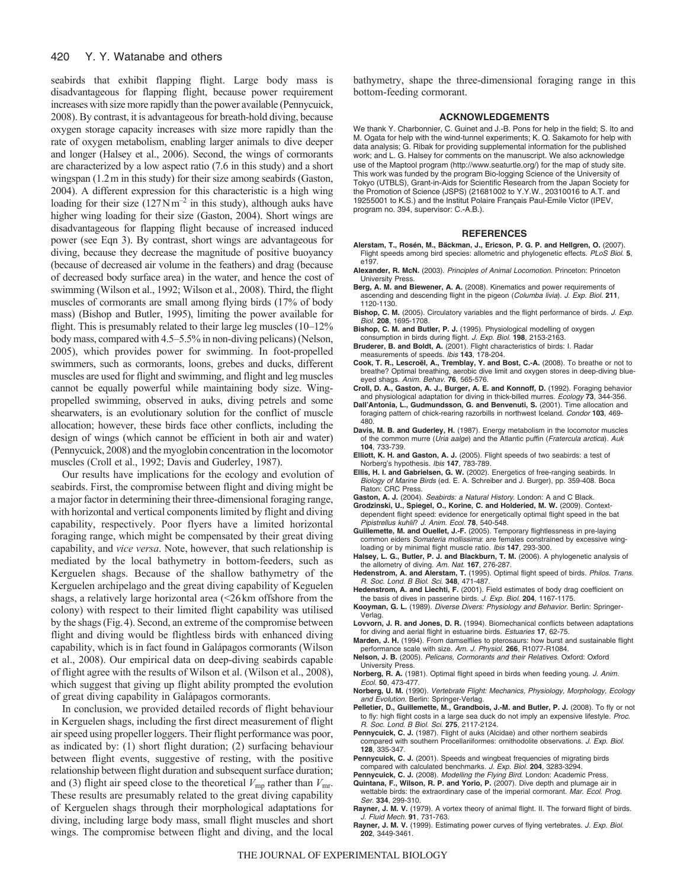#### 420 Y. Y. Watanabe and others

seabirds that exhibit flapping flight. Large body mass is disadvantageous for flapping flight, because power requirement increases with size more rapidly than the power available (Pennycuick, 2008). By contrast, it is advantageous for breath-hold diving, because oxygen storage capacity increases with size more rapidly than the rate of oxygen metabolism, enabling larger animals to dive deeper and longer (Halsey et al., 2006). Second, the wings of cormorants are characterized by a low aspect ratio (7.6 in this study) and a short wingspan (1.2m in this study) for their size among seabirds (Gaston, 2004). A different expression for this characteristic is a high wing loading for their size  $(127 \text{ N m}^{-2})$  in this study), although auks have higher wing loading for their size (Gaston, 2004). Short wings are disadvantageous for flapping flight because of increased induced power (see Eqn 3). By contrast, short wings are advantageous for diving, because they decrease the magnitude of positive buoyancy (because of decreased air volume in the feathers) and drag (because of decreased body surface area) in the water, and hence the cost of swimming (Wilson et al., 1992; Wilson et al., 2008). Third, the flight muscles of cormorants are small among flying birds (17% of body mass) (Bishop and Butler, 1995), limiting the power available for flight. This is presumably related to their large leg muscles (10–12% body mass, compared with 4.5–5.5% in non-diving pelicans) (Nelson, 2005), which provides power for swimming. In foot-propelled swimmers, such as cormorants, loons, grebes and ducks, different muscles are used for flight and swimming, and flight and leg muscles cannot be equally powerful while maintaining body size. Wingpropelled swimming, observed in auks, diving petrels and some shearwaters, is an evolutionary solution for the conflict of muscle allocation; however, these birds face other conflicts, including the design of wings (which cannot be efficient in both air and water) (Pennycuick, 2008) and the myoglobin concentration in the locomotor muscles (Croll et al., 1992; Davis and Guderley, 1987).

Our results have implications for the ecology and evolution of seabirds. First, the compromise between flight and diving might be a major factor in determining their three-dimensional foraging range, with horizontal and vertical components limited by flight and diving capability, respectively. Poor flyers have a limited horizontal foraging range, which might be compensated by their great diving capability, and *vice versa*. Note, however, that such relationship is mediated by the local bathymetry in bottom-feeders, such as Kerguelen shags. Because of the shallow bathymetry of the Kerguelen archipelago and the great diving capability of Keguelen shags, a relatively large horizontal area (<26km offshore from the colony) with respect to their limited flight capability was utilised by the shags (Fig.4). Second, an extreme of the compromise between flight and diving would be flightless birds with enhanced diving capability, which is in fact found in Galápagos cormorants (Wilson et al., 2008). Our empirical data on deep-diving seabirds capable of flight agree with the results of Wilson et al. (Wilson et al., 2008), which suggest that giving up flight ability prompted the evolution of great diving capability in Galápagos cormorants.

In conclusion, we provided detailed records of flight behaviour in Kerguelen shags, including the first direct measurement of flight air speed using propeller loggers. Their flight performance was poor, as indicated by: (1) short flight duration; (2) surfacing behaviour between flight events, suggestive of resting, with the positive relationship between flight duration and subsequent surface duration; and (3) flight air speed close to the theoretical  $V_{\text{mp}}$  rather than  $V_{\text{mr}}$ . These results are presumably related to the great diving capability of Kerguelen shags through their morphological adaptations for diving, including large body mass, small flight muscles and short wings. The compromise between flight and diving, and the local bathymetry, shape the three-dimensional foraging range in this bottom-feeding cormorant.

# **ACKNOWLEDGEMENTS**

We thank Y. Charbonnier, C. Guinet and J.-B. Pons for help in the field; S. Ito and M. Ogata for help with the wind-tunnel experiments; K. Q. Sakamoto for help with data analysis; G. Ribak for providing supplemental information for the published work; and L. G. Halsey for comments on the manuscript. We also acknowledge use of the Maptool program (http://www.seaturtle.org/) for the map of study site. This work was funded by the program Bio-logging Science of the University of Tokyo (UTBLS), Grant-in-Aids for Scientific Research from the Japan Society for the Promotion of Science (JSPS) (21681002 to Y.Y.W., 20310016 to A.T. and 19255001 to K.S.) and the Institut Polaire Français Paul-Emile Victor (IPEV, program no. 394, supervisor: C.-A.B.).

#### **REFERENCES**

- **Alerstam, T., Rosén, M., Bäckman, J., Ericson, P. G. P. and Hellgren, O.** (2007). Flight speeds among bird species: allometric and phylogenetic effects. PLoS Biol. **5**, e197.
- **Alexander, R. McN.** (2003). Principles of Animal Locomotion. Princeton: Princeton University Press.
- **Berg, A. M. and Biewener, A. A.** (2008). Kinematics and power requirements of ascending and descending flight in the pigeon (Columba livia). J. Exp. Biol. **211**, 1120-1130.
- Bishop, C. M. (2005). Circulatory variables and the flight performance of birds. J. Exp. Biol. **208**, 1695-1708.
- **Bishop, C. M. and Butler, P. J.** (1995). Physiological modelling of oxygen consumption in birds during flight. J. Exp. Biol. **198**, 2153-2163.
- **Bruderer, B. and Boldt, A.** (2001). Flight characteristics of birds: I. Radar measurements of speeds. Ibis **143**, 178-204.
- **Cook, T. R., Lescroël, A., Tremblay, Y. and Bost, C.-A.** (2008). To breathe or not to breathe? Optimal breathing, aerobic dive limit and oxygen stores in deep-diving blueeyed shags. Anim. Behav. **76**, 565-576.
- **Croll, D. A., Gaston, A. J., Burger, A. E. and Konnoff, D.** (1992). Foraging behavior and physiological adaptation for diving in thick-billed murres. Ecology **73**, 344-356.
- **Dall'Antonia, L., Gudmundsson, G. and Benvenuti, S.** (2001). Time allocation and foraging pattern of chick-rearing razorbills in northwest Iceland. Condor **103**, 469- 480.
- **Davis, M. B. and Guderley, H.** (1987). Energy metabolism in the locomotor muscles of the common murre (Uria aalge) and the Atlantic puffin (Fratercula arctica). Auk **104**, 733-739.
- **Elliott, K. H. and Gaston, A. J.** (2005). Flight speeds of two seabirds: a test of Norberg's hypothesis. Ibis **147**, 783-789.
- **Ellis, H. I. and Gabrielsen, G. W.** (2002). Energetics of free-ranging seabirds. In Biology of Marine Birds (ed. E. A. Schreiber and J. Burger), pp. 359-408. Boca Raton: CRC Press.

Gaston, A. J. (2004). Seabirds: a Natural History. London: A and C Black.

- **Grodzinski, U., Spiegel, O., Korine, C. and Holderied, M. W.** (2009). Contextdependent flight speed: evidence for energetically optimal flight speed in the bat Pipistrellus kuhlii? J. Anim. Ecol. **78**, 540-548.
- **Guillemette, M. and Ouellet, J.-F.** (2005). Temporary flightlessness in pre-laying common eiders Somateria mollissima: are females constrained by excessive wingloading or by minimal flight muscle ratio. Ibis **147**, 293-300.
- **Halsey, L. G., Butler, P. J. and Blackburn, T. M.** (2006). A phylogenetic analysis of the allometry of diving. Am. Nat. **167**, 276-287.
- Hedenstrom, A. and Alerstam, T. (1995). Optimal flight speed of birds. Philos. Trans. R. Soc. Lond. B Biol. Sci. **348**, 471-487.
- **Hedenstrom, A. and Liechti, F.** (2001). Field estimates of body drag coefficient on the basis of dives in passerine birds. J. Exp. Biol. **204**, 1167-1175.
- **Kooyman, G. L.** (1989). Diverse Divers: Physiology and Behavior. Berlin: Springer-Verlag.
- **Lovvorn, J. R. and Jones, D. R.** (1994). Biomechanical conflicts between adaptations for diving and aerial flight in estuarine birds. Estuaries **17**, 62-75.
- **Marden, J. H.** (1994). From damselflies to pterosaurs: how burst and sustainable flight performance scale with size. Am. J. Physiol. **266**, R1077-R1084.
- **Nelson, J. B.** (2005). Pelicans, Cormorants and their Relatives. Oxford: Oxford University Press.
- **Norberg, R. A.** (1981). Optimal flight speed in birds when feeding young. J. Anim. Ecol. **50**, 473-477.
- **Norberg, U. M.** (1990). Vertebrate Flight: Mechanics, Physiology, Morphology, Ecology and Evolution. Berlin: Springer-Verlag.
- Pelletier, D., Guillemette, M., Grandbois, J.-M. and Butler, P. J. (2008). To fly or not to fly: high flight costs in a large sea duck do not imply an expensive lifestyle. Proc. R. Soc. Lond. B Biol. Sci. **275**, 2117-2124.
- Pennycuick, C. J. (1987). Flight of auks (Alcidae) and other northern seabirds compared with southern Procellariiformes: ornithodolite observations. J. Exp. Biol. **128**, 335-347.
- **Pennycuick, C. J.** (2001). Speeds and wingbeat frequencies of migrating birds compared with calculated benchmarks. J. Exp. Biol. **204**, 3283-3294.
- Pennycuick, C. J. (2008). Modelling the Flying Bird. London: Academic Press. **Quintana, F., Wilson, R. P. and Yorio, P.** (2007). Dive depth and plumage air in wettable birds: the extraordinary case of the imperial cormorant. Mar. Ecol. Prog.
- Ser. **334**, 299-310. Rayner, J. M. V. (1979). A vortex theory of animal flight. II. The forward flight of birds.
- J. Fluid Mech. **91**, 731-763. Rayner, J. M. V. (1999). Estimating power curves of flying vertebrates. J. Exp. Biol. **202**, 3449-3461.